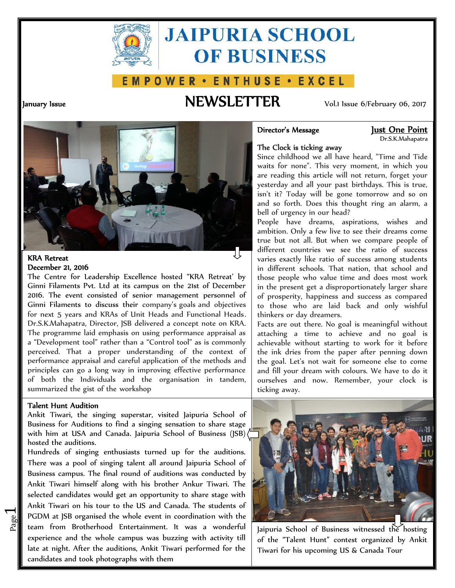

# **JAIPURIA SCHOOL OF BUSINESS**

### E M P O W E R · E N T H U S E · E X C E L

## **January Issue NEWSLETTER** Vol.1 Issue 6/February 06, 2017

**Director's Message Just One Point** Dr.S.K.Mahapatra

#### **The Clock is ticking away**

Since childhood we all have heard, "Time and Tide waits for none". This very moment, in which you are reading this article will not return, forget your yesterday and all your past birthdays. This is true, isn't it? Today will be gone tomorrow and so on and so forth. Does this thought ring an alarm, a bell of urgency in our head?

People have dreams, aspirations, wishes and ambition. Only a few live to see their dreams come true but not all. But when we compare people of different countries we see the ratio of success varies exactly like ratio of success among students in different schools. That nation, that school and those people who value time and does most work in the present get a disproportionately larger share of prosperity, happiness and success as compared to those who are laid back and only wishful thinkers or day dreamers.

Facts are out there. No goal is meaningful without attaching a time to achieve and no goal is achievable without starting to work for it before the ink dries from the paper after penning down the goal. Let's not wait for someone else to come and fill your dream with colours. We have to do it ourselves and now. Remember, your clock is ticking away.



#### **KRA Retreat December 21, 2016**

The Centre for Leadership Excellence hosted "KRA Retreat' by Ginni Filaments Pvt. Ltd at its campus on the 21st of December 2016. The event consisted of senior management personnel of Ginni Filaments to discuss their company's goals and objectives for next 5 years and KRAs of Unit Heads and Functional Heads. Dr.S.K.Mahapatra, Director, JSB delivered a concept note on KRA. The programme laid emphasis on using performance appraisal as a "Development tool" rather than a "Control tool" as is commonly perceived. That a proper understanding of the context of performance appraisal and careful application of the methods and principles can go a long way in improving effective performance of both the Individuals and the organisation in tandem, summarized the gist of the workshop

#### **Talent Hunt Audition**

 $\overline{\phantom{0}}$ 

Ankit Tiwari, the singing superstar, visited Jaipuria School of Business for Auditions to find a singing sensation to share stage with him at USA and Canada. Jaipuria School of Business (JSB) hosted the auditions.

**EVALUAT AT SURPLE IS SUPPORT AT A GET A** FOUR AT A BOOK AND THE **THE REPORT OF A SUPPORT A** FOUR THE **REPORT A** FOUR THE **EVALUATE EXECUTE A** FOUR **EXECUTE A** FOUR BOOK **EXECUTE A** FOUR **EXECUTE A** FOUR **EXECUTE A** FOUR PGDM at JSB organised the whole event in coordination with the  $\|$ Hundreds of singing enthusiasts turned up for the auditions. There was a pool of singing talent all around Jaipuria School of Business campus. The final round of auditions was conducted by Ankit Tiwari himself along with his brother Ankur Tiwari. The selected candidates would get an opportunity to share stage with Ankit Tiwari on his tour to the US and Canada. The students of experience and the whole campus was buzzing with activity till late at night. After the auditions, Ankit Tiwari performed for the candidates and took photographs with them

Jaipuria School of Business witnessed the hosting of the "Talent Hunt" contest organized by Ankit Tiwari for his upcoming US & Canada Tour